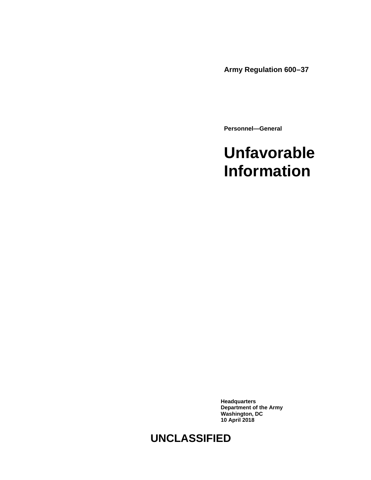**Army Regulation 600–37**

**Personnel—General**

# **Unfavorable Information**

**Headquarters Department of the Army Washington, DC 10 April 2018**

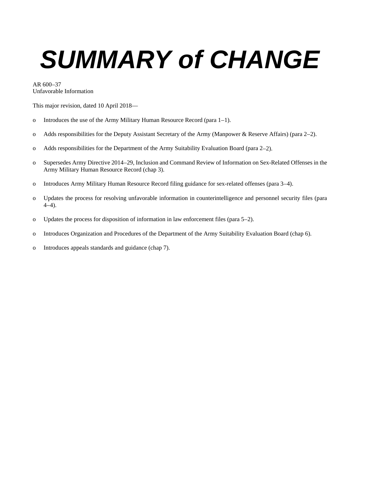# *SUMMARY of CHANGE*

AR 600–37 Unfavorable Information

This major revision, dated 10 April 2018—

- o Introduces the use of the Army Military Human Resource Record [\(para 1–1\)](#page-4-0).
- o Adds responsibilities for the Deputy Assistant Secretary of the Army (Manpower & Reserve Affairs) [\(para 2–2\)](#page-4-1).
- o Adds responsibilities for the Department of the Army Suitability Evaluation Board [\(para 2–2\)](#page-4-1).
- o Supersedes Army Directive 2014–29, Inclusion and Command Review of Information on Sex-Related Offenses in the Army Military Human Resource Record [\(chap 3\)](#page-6-0).
- o Introduces Army Military Human Resource Record filing guidance for sex-related offenses [\(para 3–4\)](#page-7-0).
- o Updates the process for resolving unfavorable information in counterintelligence and personnel security files [\(para](#page-10-0)  [4–4\)](#page-10-0).
- o Updates the process for disposition of information in law enforcement files [\(para 5–2\)](#page-11-0).
- o Introduces Organization and Procedures of the Department of the Army Suitability Evaluation Board [\(chap 6\)](#page-12-0).
- o Introduces appeals standards and guidance [\(chap 7\)](#page-14-0).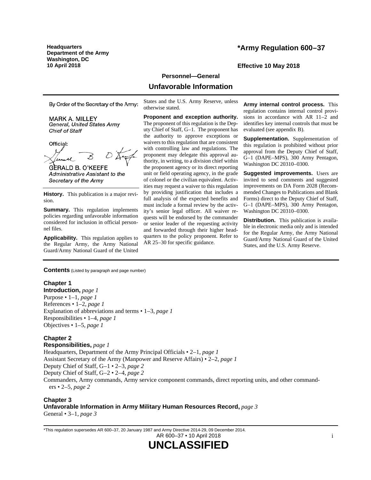**Headquarters Department of the Army Washington, DC 10 April 2018 Effective 10 May 2018**

## **\*Army Regulation 600–37**

#### **Personnel—General**

## **Unfavorable Information**

By Order of the Secretary of the Army:

**MARK A. MILLEY** General, United States Army Chief of Staff

Official:

**GERALD B. O'KEEFE** Administrative Assistant to the Secretary of the Army

**History.** This publication is a major revision.

**Summary.** This regulation implements policies regarding unfavorable information considered for inclusion in official personnel files.

**Applicability.** This regulation applies to the Regular Army, the Army National Guard/Army National Guard of the United

States and the U.S. Army Reserve, unless otherwise stated.

**Proponent and exception authority.** The proponent of this regulation is the Deputy Chief of Staff, G–1. The proponent has the authority to approve exceptions or waivers to this regulation that are consistent with controlling law and regulations. The proponent may delegate this approval authority, in writing, to a division chief within the proponent agency or its direct reporting unit or field operating agency, in the grade of colonel or the civilian equivalent. Activities may request a waiver to this regulation by providing justification that includes a full analysis of the expected benefits and must include a formal review by the activity's senior legal officer. All waiver requests will be endorsed by the commander or senior leader of the requesting activity and forwarded through their higher headquarters to the policy proponent. Refer to AR 25–30 for specific guidance.

**Army internal control process.** This regulation contains internal control provisions in accordance with AR 11–2 and identifies key internal controls that must be evaluated (se[e appendix](#page-21-0) B).

**Supplementation.** Supplementation of this regulation is prohibited without prior approval from the Deputy Chief of Staff, G–1 (DAPE–MPS), 300 Army Pentagon, Washington DC 20310–0300.

**Suggested improvements.** Users are invited to send comments and suggested improvements on DA Form 2028 (Recommended Changes to Publications and Blank Forms) direct to the Deputy Chief of Staff, G–1 (DAPE–MPS), 300 Army Pentagon, Washington DC 20310–0300.

**Distribution.** This publication is available in electronic media only and is intended for the Regular Army, the Army National Guard/Army National Guard of the United States, and the U.S. Army Reserve.

**Contents** (Listed by paragraph and page number)

#### **Chapter 1**

**Introduction,** *page [1](#page-4-2)* Purpose • 1–1, *page [1](#page-4-0)* References • 1–2, *page [1](#page-4-3)* Explanation of abbreviations and terms • 1–3, *page [1](#page-4-4)* Responsibilities • 1–4, *page [1](#page-4-5)* Objectives • 1–5, *page [1](#page-4-6)*

#### **Chapter 2**

**Responsibilities,** *page [1](#page-4-7)* Headquarters, Department of the Army Principal Officials • 2–1, *page [1](#page-4-8)* Assistant Secretary of the Army (Manpower and Reserve Affairs) • 2–2, *page [1](#page-4-1)* Deputy Chief of Staff, G–1 • 2–3, *page [2](#page-5-0)* Deputy Chief of Staff, G–2 • 2–4, *page [2](#page-5-1)* Commanders, Army commands, Army service component commands, direct reporting units, and other commanders • 2–5, *page [2](#page-5-2)*

**Chapter 3 Unfavorable Information in Army Military Human Resources Record,** *page [3](#page-6-0)* General • 3–1, *page [3](#page-6-1)*

\*This regulation supersedes AR 600–37, 20 January 1987 and Army Directive 2014-29, 09 December 2014. AR 600–37 • 10 April 2018

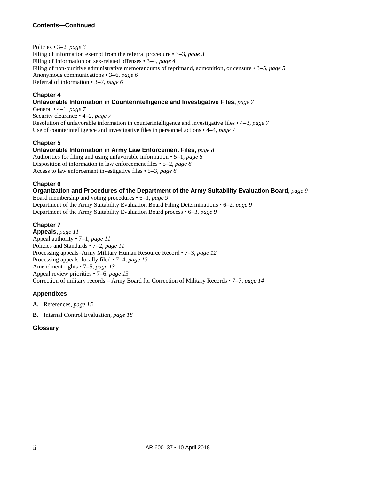Policies • 3–2, *page [3](#page-6-2)*

Filing of information exempt from the referral procedure • 3–3, *page [3](#page-6-3)* Filing of Information on sex-related offenses • 3–4, *page [4](#page-7-0)* Filing of non-punitive administrative memorandums of reprimand, admonition, or censure • 3–5, *page [5](#page-8-0)* Anonymous communications • 3–6, *page [6](#page-9-0)* Referral of information • 3–7, *page [6](#page-9-1)*

## **Chapter 4**

## **Unfavorable Information in Counterintelligence and Investigative Files,** *page [7](#page-10-1)*

General • 4–1, *page [7](#page-10-2)* Security clearance • 4–2, *page [7](#page-10-3)* Resolution of unfavorable information in counterintelligence and investigative files • 4–3, *page [7](#page-10-4)* Use of counterintelligence and investigative files in personnel actions • 4–4, *page [7](#page-10-0)*

## **Chapter 5**

## **Unfavorable Information in Army Law Enforcement Files,** *page [8](#page-11-1)*

Authorities for filing and using unfavorable information • 5–1, *page [8](#page-11-2)* Disposition of information in law enforcement files • 5–2, *page [8](#page-11-0)* Access to law enforcement investigative files • 5–3, *page [8](#page-11-3)*

## **Chapter 6**

## **Organization and Procedures of the Department of the Army Suitability Evaluation Board,** *page [9](#page-12-0)*

Board membership and voting procedures • 6–1, *page [9](#page-12-1)* Department of the Army Suitability Evaluation Board Filing Determinations • 6–2, *page [9](#page-12-2)* Department of the Army Suitability Evaluation Board process • 6–3, *page [9](#page-12-3)*

## **Chapter 7**

**Appeals,** *page [11](#page-14-0)* Appeal authority • 7–1, *page [11](#page-14-1)* Policies and Standards • 7–2, *page [11](#page-14-2)* Processing appeals–Army Military Human Resource Record • 7–3, *page [12](#page-15-0)* Processing appeals–locally filed • 7–4, *page [13](#page-16-0)* Amendment rights • 7–5, *page [13](#page-16-1)* Appeal review priorities • 7–6, *page [13](#page-16-2)* Correction of military records – Army Board for Correction of Military Records • 7–7, *page [14](#page-17-0)*

## **Appendixes**

- **A.** References, *page [15](#page-18-0)*
- **B.** Internal Control Evaluation, *page [18](#page-21-0)*

## **Glossary**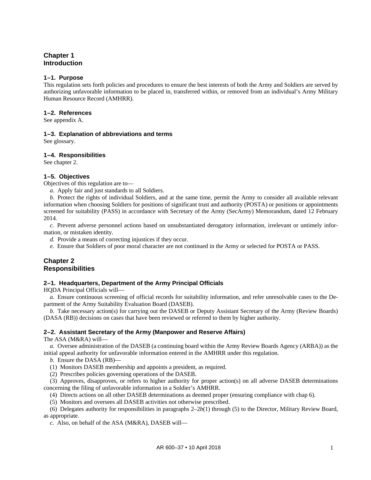## <span id="page-4-2"></span>**Chapter 1 Introduction**

#### <span id="page-4-0"></span>**1–1. Purpose**

This regulation sets forth policies and procedures to ensure the best interests of both the Army and Soldiers are served by authorizing unfavorable information to be placed in, transferred within, or removed from an individual's Army Military Human Resource Record (AMHRR).

#### <span id="page-4-3"></span>**1–2. References**

<span id="page-4-4"></span>See [appendix A.](#page-18-0)

#### **1–3. Explanation of abbreviations and terms**

<span id="page-4-5"></span>See [glossary.](#page-22-0)

#### **1–4. Responsibilities**

<span id="page-4-6"></span>See [chapter 2.](#page-4-7)

#### **1–5. Objectives**

Objectives of this regulation are to—

*a.* Apply fair and just standards to all Soldiers.

*b.* Protect the rights of individual Soldiers, and at the same time, permit the Army to consider all available relevant information when choosing Soldiers for positions of significant trust and authority (POSTA) or positions or appointments screened for suitability (PASS) in accordance with Secretary of the Army (SecArmy) Memorandum, dated 12 February 2014*.* 

*c.* Prevent adverse personnel actions based on unsubstantiated derogatory information, irrelevant or untimely information, or mistaken identity.

*d.* Provide a means of correcting injustices if they occur.

*e.* Ensure that Soldiers of poor moral character are not continued in the Army or selected for POSTA or PASS.

## <span id="page-4-7"></span>**Chapter 2 Responsibilities**

#### <span id="page-4-8"></span>**2–1. Headquarters, Department of the Army Principal Officials**

HQDA Principal Officials will—

*a.* Ensure continuous screening of official records for suitability information, and refer unresolvable cases to the Department of the Army Suitability Evaluation Board (DASEB).

*b.* Take necessary action(s) for carrying out the DASEB or Deputy Assistant Secretary of the Army (Review Boards) (DASA (RB)) decisions on cases that have been reviewed or referred to them by higher authority.

#### <span id="page-4-1"></span>**2–2. Assistant Secretary of the Army (Manpower and Reserve Affairs)**

The ASA (M&RA) will—

*a.* Oversee administration of the DASEB (a continuing board within the Army Review Boards Agency (ARBA)) as the initial appeal authority for unfavorable information entered in the AMHRR under this regulation.

*b.* Ensure the DASA (RB)—

<span id="page-4-9"></span>(1) Monitors DASEB membership and appoints a president, as required.

(2) Prescribes policies governing operations of the DASEB.

(3) Approves, disapproves, or refers to higher authority for proper action(s) on all adverse DASEB determinations concerning the filing of unfavorable information in a Soldier's AMHRR.

(4) Directs actions on all other DASEB determinations as deemed proper (ensuring compliance with [chap](#page-12-0) 6).

(5) Monitors and oversees all DASEB activities not otherwise prescribed.

(6) Delegates authority for responsibilities in [paragraphs](#page-4-9) 2–2*b*(1) through (5) to the Director, Military Review Board, as appropriate.

*c.* Also, on behalf of the ASA (M&RA), DASEB will—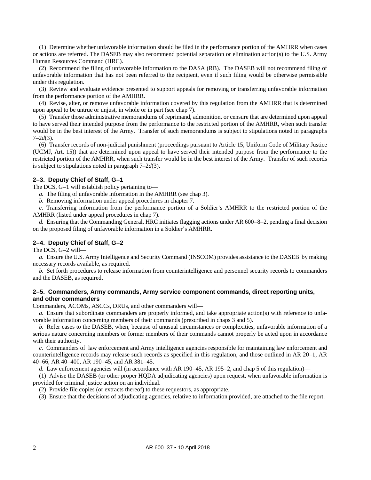(1) Determine whether unfavorable information should be filed in the performance portion of the AMHRR when cases or actions are referred. The DASEB may also recommend potential separation or elimination action(s) to the U.S. Army Human Resources Command (HRC).

(2) Recommend the filing of unfavorable information to the DASA (RB). The DASEB will not recommend filing of unfavorable information that has not been referred to the recipient, even if such filing would be otherwise permissible under this regulation.

(3) Review and evaluate evidence presented to support appeals for removing or transferring unfavorable information from the performance portion of the AMHRR.

(4) Revise, alter, or remove unfavorable information covered by this regulation from the AMHRR that is determined upon appeal to be untrue or unjust, in whole or in part (se[e chap](#page-14-0) 7).

(5) Transfer those administrative memorandums of reprimand, admonition, or censure that are determined upon appeal to have served their intended purpose from the performance to the restricted portion of the AMHRR, when such transfer would be in the best interest of the Army. Transfer of such memorandums is subject to stipulations noted in paragraphs 7–2*d*(3).

(6) Transfer records of non-judicial punishment (proceedings pursuant to Article 15, Uniform Code of Military Justice (UCMJ, Art. 15)) that are determined upon appeal to have served their intended purpose from the performance to the restricted portion of the AMHRR, when such transfer would be in the best interest of the Army. Transfer of such records is subject to stipulations noted in paragraph 7–2*d*(3).

## <span id="page-5-0"></span>**2–3. Deputy Chief of Staff, G–1**

The DCS, G–1 will establish policy pertaining to—

*a.* The filing of unfavorable information in the AMHRR (see [chap](#page-6-0) 3).

*b.* Removing information under appeal procedures in [chapter](#page-14-0) 7.

*c.* Transferring information from the performance portion of a Soldier's AMHRR to the restricted portion of the AMHRR (listed under appeal procedures in [chap](#page-14-0) 7).

<span id="page-5-5"></span>*d.* Ensuring that the Commanding General, HRC initiates flagging actions under AR 600–8–2, pending a final decision on the proposed filing of unfavorable information in a Soldier's AMHRR.

#### <span id="page-5-1"></span>**2–4. Deputy Chief of Staff, G–2**

The DCS, G–2 will—

*a.* Ensure the U.S. Army Intelligence and Security Command (INSCOM) provides assistance to the DASEB by making necessary records available, as required.

*b.* Set forth procedures to release information from counterintelligence and personnel security records to commanders and the DASEB, as required.

#### <span id="page-5-2"></span>**2–5. Commanders, Army commands, Army service component commands, direct reporting units, and other commanders**

Commanders, ACOMs, ASCCs, DRUs, and other commanders will—

*a.* Ensure that subordinate commanders are properly informed, and take appropriate action(s) with reference to unfavorable information concerning members of their commands (prescribed in chaps [3](#page-6-0) and [5\)](#page-11-1).

*b.* Refer cases to the DASEB, when, because of unusual circumstances or complexities, unfavorable information of a serious nature concerning members or former members of their commands cannot properly be acted upon in accordance with their authority.

<span id="page-5-3"></span>*c.* Commanders of law enforcement and Army intelligence agencies responsible for maintaining law enforcement and counterintelligence records may release such records as specified in this regulation, and those outlined in AR 20–1, AR 40–66, AR 40–400, AR 190–45, and AR 381–45.

<span id="page-5-4"></span>*d.* Law enforcement agencies will (in accordance with AR 190–45, AR 195–2, and [chap](#page-11-1) 5 of this regulation)—

(1) Advise the DASEB (or other proper HQDA adjudicating agencies) upon request, when unfavorable information is provided for criminal justice action on an individual.

(2) Provide file copies (or extracts thereof) to these requestors, as appropriate.

(3) Ensure that the decisions of adjudicating agencies, relative to information provided, are attached to the file report.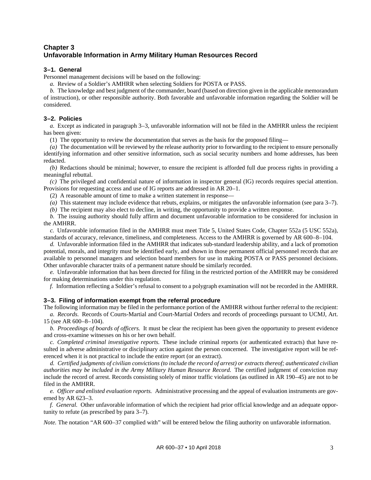## <span id="page-6-0"></span>**Chapter 3 Unfavorable Information in Army Military Human Resources Record**

## <span id="page-6-1"></span>**3–1. General**

Personnel management decisions will be based on the following:

*a.* Review of a Soldier's AMHRR when selecting Soldiers for POSTA or PASS.

*b.* The knowledge and best judgment of the commander, board (based on direction given in the applicable memorandum of instruction), or other responsible authority. Both favorable and unfavorable information regarding the Soldier will be considered.

## <span id="page-6-2"></span>**3–2. Policies**

*a.* Except as indicated in [paragraph](#page-6-3) 3–3, unfavorable information will not be filed in the AMHRR unless the recipient has been given:

(1) The opportunity to review the documentation that serves as the basis for the proposed filing—

*(a)* The documentation will be reviewed by the release authority prior to forwarding to the recipient to ensure personally identifying information and other sensitive information, such as social security numbers and home addresses, has been redacted.

*(b)* Redactions should be minimal; however, to ensure the recipient is afforded full due process rights in providing a meaningful rebuttal.

*(c)* The privileged and confidential nature of information in inspector general (IG) records requires special attention. Provisions for requesting access and use of IG reports are addressed in AR 20–1.

(2) A reasonable amount of time to make a written statement in response—

*(a)* This statement may include evidence that rebuts, explains, or mitigates the unfavorable information (see [para](#page-9-1) 3–7).

*(b)* The recipient may also elect to decline, in writing, the opportunity to provide a written response.

*b.* The issuing authority should fully affirm and document unfavorable information to be considered for inclusion in the AMHRR.

<span id="page-6-4"></span>*c.* Unfavorable information filed in the AMHRR must meet Title 5, United States Code, Chapter 552a (5 USC 552a), standards of accuracy, relevance, timeliness, and completeness. Access to the AMHRR is governed by AR 600–8–104.

*d.* Unfavorable information filed in the AMHRR that indicates sub-standard leadership ability, and a lack of promotion potential, morals, and integrity must be identified early, and shown in those permanent official personnel records that are available to personnel managers and selection board members for use in making POSTA or PASS personnel decisions. Other unfavorable character traits of a permanent nature should be similarly recorded.

*e.* Unfavorable information that has been directed for filing in the restricted portion of the AMHRR may be considered for making determinations under this regulation.

*f.* Information reflecting a Soldier's refusal to consent to a polygraph examination will not be recorded in the AMHRR.

#### <span id="page-6-3"></span>**3–3. Filing of information exempt from the referral procedure**

The following information may be filed in the performance portion of the AMHRR without further referral to the recipient: *a. Records.* Records of Courts-Martial and Court-Martial Orders and records of proceedings pursuant to UCMJ, Art. 15 (see AR 600–8–104).

*b. Proceedings of boards of officers.* It must be clear the recipient has been given the opportunity to present evidence and cross-examine witnesses on his or her own behalf.

*c. Completed criminal investigative reports.* These include criminal reports (or authenticated extracts) that have resulted in adverse administrative or disciplinary action against the person concerned. The investigative report will be referenced when it is not practical to include the entire report (or an extract).

*d. Certified judgments of civilian convictions (to include the record of arrest) or extracts thereof; authenticated civilian authorities may be included in the Army Military Human Resource Record.* The certified judgment of conviction may include the record of arrest. Records consisting solely of minor traffic violations (as outlined in AR 190–45) are not to be filed in the AMHRR.

<span id="page-6-5"></span>*e. Officer and enlisted evaluation reports.* Administrative processing and the appeal of evaluation instruments are governed by AR 623–3.

*f. General.* Other unfavorable information of which the recipient had prior official knowledge and an adequate opportunity to refute (as prescribed b[y para](#page-9-1) 3–7).

*Note*. The notation "AR 600–37 complied with" will be entered below the filing authority on unfavorable information.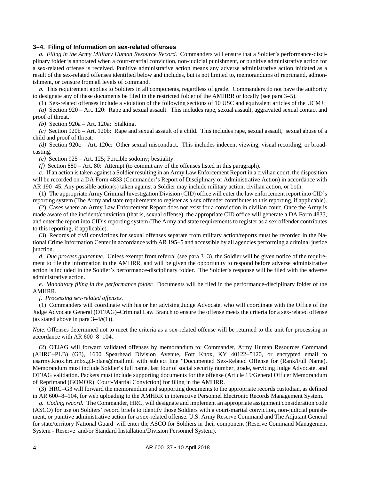#### <span id="page-7-0"></span>**3–4. Filing of Information on sex-related offenses**

*a. Filing in the Army Military Human Resource Record.* Commanders will ensure that a Soldier's performance-disciplinary folder is annotated when a court-martial conviction, non-judicial punishment, or punitive administrative action for a sex-related offense is received. Punitive administrative action means any adverse administrative action initiated as a result of the sex-related offenses identified below and includes, but is not limited to, memorandums of reprimand, admonishment, or censure from all levels of command.

*b.* This requirement applies to Soldiers in all components, regardless of grade. Commanders do not have the authority to designate any of these documents be filed in the restricted folder of the AMHRR or locally (see [para](#page-8-0) 3–5).

<span id="page-7-1"></span>(1) Sex-related offenses include a violation of the following sections of 10 USC and equivalent articles of the UCMJ:

*(a)* Section 920 – Art. 120: Rape and sexual assault. This includes rape, sexual assault, aggravated sexual contact and proof of threat.

*(b)* Section 920a – Art. 120a: Stalking.

*(c)* Section 920b – Art. 120b: Rape and sexual assault of a child. This includes rape, sexual assault, sexual abuse of a child and proof of threat.

*(d)* Section 920c – Art. 120c: Other sexual misconduct. This includes indecent viewing, visual recording, or broadcasting.

*(e)* Section 925 – Art. 125; Forcible sodomy; bestiality.

*(f)* Section 880 – Art. 80: Attempt (to commit any of the offenses listed in this paragraph).

<span id="page-7-3"></span>*c.* If an action is taken against a Soldier resulting in an Army Law Enforcement Report in a civilian court, the disposition will be recorded on a DA Form 4833 (Commander's Report of Disciplinary or Administrative Action) in accordance with AR 190–45. Any possible action(s) taken against a Soldier may include military action, civilian action, or both.

(1) The appropriate Army Criminal Investigation Division (CID) office will enter the law enforcement report into CID's reporting system (The Army and state requirements to register as a sex offender contributes to this reporting, if applicable).

(2) Cases where an Army Law Enforcement Report does not exist for a conviction in civilian court. Once the Army is made aware of the incident/conviction (that is, sexual offense), the appropriate CID office will generate a DA Form 4833, and enter the report into CID's reporting system (The Army and state requirements to register as a sex offender contributes to this reporting, if applicable).

<span id="page-7-2"></span>(3) Records of civil convictions for sexual offenses separate from military action/reports must be recorded in the National Crime Information Center in accordance with AR 195–5 and accessible by all agencies performing a criminal justice junction.

*d. Due process guarantee.* Unless exempt from referral (see [para](#page-6-3) 3–3), the Soldier will be given notice of the requirement to file the information in the AMHRR, and will be given the opportunity to respond before adverse administrative action is included in the Soldier's performance-disciplinary folder. The Soldier's response will be filed with the adverse administrative action.

*e. Mandatory filing in the performance folder.* Documents will be filed in the performance-disciplinary folder of the AMHRR.

*f. Processing sex-related offenses.*

(1) Commanders will coordinate with his or her advising Judge Advocate, who will coordinate with the Office of the Judge Advocate General (OTJAG)–Criminal Law Branch to ensure the offense meets the criteria for a sex-related offense (as stated above i[n para](#page-7-1) 3–4*b*(1)).

*Note.* Offenses determined not to meet the criteria as a sex-related offense will be returned to the unit for processing in accordance with AR 600–8–104.

(2) OTJAG will forward validated offenses by memorandum to: Commander, Army Human Resources Command (AHRC–PLB) (G3), 1600 Spearhead Division Avenue, Fort Knox, KY 40122–5120, or encrypted email to [usarmy.knox.hrc.mbx.g3-plans@mail.mil](mailto:usarmy.knox.hrc.mbx.g3-plans@mail.mil) with subject line "Documented Sex-Related Offense for (Rank/Full Name). Memorandum must include Soldier's full name, last four of social security number, grade, servicing Judge Advocate, and OTJAG validation. Packets must include supporting documents for the offense (Article 15/General Officer Memorandum of Reprimand (GOMOR), Court-Martial Conviction) for filing in the AMHRR.

(3) HRC–G3 will forward the memorandum and supporting documents to the appropriate records custodian, as defined in AR 600–8–104, for web uploading to the AMHRR in interactive Personnel Electronic Records Management System.

*g. Coding record.* The Commander, HRC, will designate and implement an appropriate assignment consideration code (ASCO) for use on Soldiers' record briefs to identify those Soldiers with a court-martial conviction, non-judicial punishment, or punitive administrative action for a sex-related offense. U.S. Army Reserve Command and The Adjutant General for state/territory National Guard will enter the ASCO for Soldiers in their component (Reserve Command Management System - Reserve and/or Standard Installation/Division Personnel System).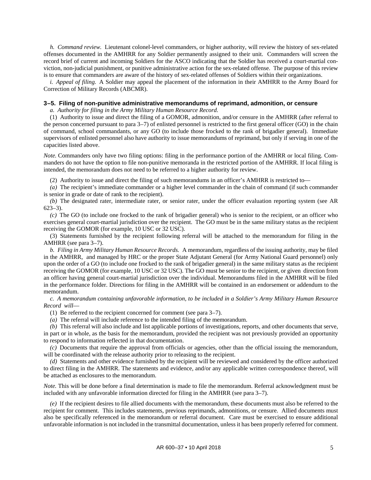*h. Command review.* Lieutenant colonel-level commanders, or higher authority, will review the history of sex-related offenses documented in the AMHRR for any Soldier permanently assigned to their unit. Commanders will screen the record brief of current and incoming Soldiers for the ASCO indicating that the Soldier has received a court-martial conviction, non-judicial punishment, or punitive administrative action for the sex-related offense. The purpose of this review is to ensure that commanders are aware of the history of sex-related offenses of Soldiers within their organizations.

*i. Appeal of filing.* A Soldier may appeal the placement of the information in their AMHRR to the Army Board for Correction of Military Records (ABCMR).

#### <span id="page-8-0"></span>**3–5. Filing of non-punitive administrative memorandums of reprimand, admonition, or censure**

*a. Authority for filing in the Army Military Human Resource Record.*

(1) Authority to issue and direct the filing of a GOMOR, admonition, and/or censure in the AMHRR (after referral to the person concerned pursuant to [para](#page-9-1) 3–7) of enlisted personnel is restricted to the first general officer (GO) in the chain of command, school commandants, or any GO (to include those frocked to the rank of brigadier general). Immediate supervisors of enlisted personnel also have authority to issue memorandums of reprimand, but only if serving in one of the capacities listed above.

*Note.* Commanders only have two filing options: filing in the performance portion of the AMHRR or local filing. Commanders do not have the option to file non-punitive memoranda in the restricted portion of the AMHRR. If local filing is intended, the memorandum does not need to be referred to a higher authority for review.

(2) Authority to issue and direct the filing of such memorandums in an officer's AMHRR is restricted to—

*(a)* The recipient's immediate commander or a higher level commander in the chain of command (if such commander is senior in grade or date of rank to the recipient).

*(b)* The designated rater, intermediate rater, or senior rater, under the officer evaluation reporting system (see AR 623–3).

*(c)* The GO (to include one frocked to the rank of brigadier general) who is senior to the recipient, or an officer who exercises general court-martial jurisdiction over the recipient. The GO must be in the same military status as the recipient receiving the GOMOR (for example, 10 USC or 32 USC).

(3) Statements furnished by the recipient following referral will be attached to the memorandum for filing in the AMHRR (see [para](#page-9-1) 3–7).

*b. Filing in Army Military Human Resource Records.* A memorandum, regardless of the issuing authority, may be filed in the AMHRR, and managed by HRC or the proper State Adjutant General (for Army National Guard personnel) only upon the order of a GO (to include one frocked to the rank of brigadier general) in the same military status as the recipient receiving the GOMOR (for example, 10 USC or 32 USC). The GO must be senior to the recipient, or given direction from an officer having general court-martial jurisdiction over the individual. Memorandums filed in the AMHRR will be filed in the performance folder. Directions for filing in the AMHRR will be contained in an endorsement or addendum to the memorandum.

*c. A memorandum containing unfavorable information, to be included in a Soldier's Army Military Human Resource Record will*—

(1) Be referred to the recipient concerned for comment (see [para](#page-9-1) 3–7).

*(a)* The referral will include reference to the intended filing of the memorandum.

*(b)* This referral will also include and list applicable portions of investigations, reports, and other documents that serve, in part or in whole, as the basis for the memorandum, provided the recipient was not previously provided an opportunity to respond to information reflected in that documentation.

*(c)* Documents that require the approval from officials or agencies, other than the official issuing the memorandum, will be coordinated with the release authority prior to releasing to the recipient.

*(d)* Statements and other evidence furnished by the recipient will be reviewed and considered by the officer authorized to direct filing in the AMHRR. The statements and evidence, and/or any applicable written correspondence thereof, will be attached as enclosures to the memorandum.

*Note.* This will be done before a final determination is made to file the memorandum. Referral acknowledgment must be included with any unfavorable information directed for filing in the AMHRR (see para 3–7).

*(e)* If the recipient desires to file allied documents with the memorandum, these documents must also be referred to the recipient for comment. This includes statements, previous reprimands, admonitions, or censure. Allied documents must also be specifically referenced in the memorandum or referral document. Care must be exercised to ensure additional unfavorable information is not included in the transmittal documentation, unless it has been properly referred for comment.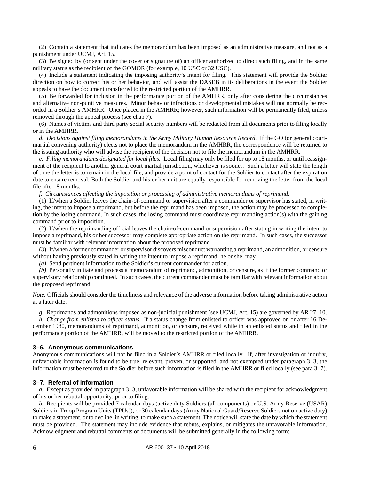(2) Contain a statement that indicates the memorandum has been imposed as an administrative measure, and not as a punishment under UCMJ, Art. 15.

(3) Be signed by (or sent under the cover or signature of) an officer authorized to direct such filing, and in the same military status as the recipient of the GOMOR (for example, 10 USC or 32 USC).

(4) Include a statement indicating the imposing authority's intent for filing. This statement will provide the Soldier direction on how to correct his or her behavior, and will assist the DASEB in its deliberations in the event the Soldier appeals to have the document transferred to the restricted portion of the AMHRR.

(5) Be forwarded for inclusion in the performance portion of the AMHRR, only after considering the circumstances and alternative non-punitive measures. Minor behavior infractions or developmental mistakes will not normally be recorded in a Soldier's AMHRR. Once placed in the AMHRR; however, such information will be permanently filed, unless removed through the appeal process (se[e chap](#page-14-0) 7).

(6) Names of victims and third party social security numbers will be redacted from all documents prior to filing locally or in the AMHRR.

*d. Decisions against filing memorandums in the Army Military Human Resource Record.* If the GO (or general courtmartial convening authority) elects not to place the memorandum in the AMHRR, the correspondence will be returned to the issuing authority who will advise the recipient of the decision not to file the memorandum in the AMHRR.

*e. Filing memorandums designated for local files.* Local filing may only be filed for up to 18 months, or until reassignment of the recipient to another general court martial jurisdiction, whichever is sooner. Such a letter will state the length of time the letter is to remain in the local file, and provide a point of contact for the Soldier to contact after the expiration date to ensure removal. Both the Soldier and his or her unit are equally responsible for removing the letter from the local file after18 months.

*f. Circumstances affecting the imposition or processing of administrative memorandums of reprimand.*

(1) If/when a Soldier leaves the chain-of-command or supervision after a commander or supervisor has stated, in writing, the intent to impose a reprimand, but before the reprimand has been imposed, the action may be processed to completion by the losing command. In such cases, the losing command must coordinate reprimanding action(s) with the gaining command prior to imposition.

(2) If/when the reprimanding official leaves the chain-of-command or supervision after stating in writing the intent to impose a reprimand, his or her successor may complete appropriate action on the reprimand. In such cases, the successor must be familiar with relevant information about the proposed reprimand.

(3) If/when a former commander or supervisor discovers misconduct warranting a reprimand, an admonition, or censure without having previously stated in writing the intent to impose a reprimand, he or she may—

*(a)* Send pertinent information to the Soldier's current commander for action.

*(b)* Personally initiate and process a memorandum of reprimand, admonition, or censure, as if the former command or supervisory relationship continued. In such cases, the current commander must be familiar with relevant information about the proposed reprimand.

*Note.* Officials should consider the timeliness and relevance of the adverse information before taking administrative action at a later date.

<span id="page-9-2"></span>*g.* Reprimands and admonitions imposed as non-judicial punishment (see UCMJ, Art. 15) are governed by AR 27–10.

*h. Change from enlisted to officer status.* If a status change from enlisted to officer was approved on or after 16 December 1980, memorandums of reprimand, admonition, or censure, received while in an enlisted status and filed in the performance portion of the AMHRR, will be moved to the restricted portion of the AMHRR.

#### <span id="page-9-0"></span>**3–6. Anonymous communications**

Anonymous communications will not be filed in a Soldier's AMHRR or filed locally. If, after investigation or inquiry, unfavorable information is found to be true, relevant, proven, or supported, and not exempted under [paragraph 3–3,](#page-6-3) the information must be referred to the Soldier before such information is filed in the AMHRR or filed locally (see [para 3–7\)](#page-9-1).

#### <span id="page-9-1"></span>**3–7. Referral of information**

*a.* Except as provided i[n paragraph](#page-6-3) 3–3, unfavorable information will be shared with the recipient for acknowledgment of his or her rebuttal opportunity, prior to filing.

*b.* Recipients will be provided 7 calendar days (active duty Soldiers (all components) or U.S. Army Reserve (USAR) Soldiers in Troop Program Units (TPUs)), or 30 calendar days (Army National Guard/Reserve Soldiers not on active duty) to make a statement, or to decline, in writing, to make such a statement. The notice will state the date by which the statement must be provided. The statement may include evidence that rebuts, explains, or mitigates the unfavorable information. Acknowledgment and rebuttal comments or documents will be submitted generally in the following form: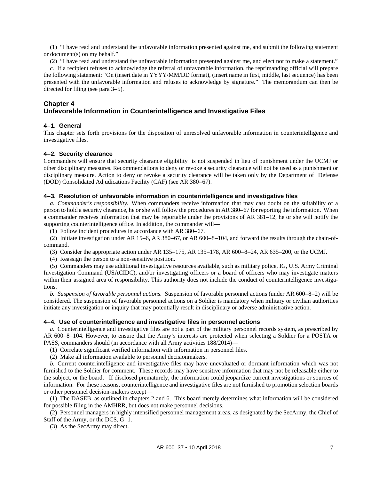(1) "I have read and understand the unfavorable information presented against me, and submit the following statement or document(s) on my behalf."

(2) "I have read and understand the unfavorable information presented against me, and elect not to make a statement."

*c.* If a recipient refuses to acknowledge the referral of unfavorable information, the reprimanding official will prepare the following statement: "On (insert date in YYYY/MM/DD format), (insert name in first, middle, last sequence) has been presented with the unfavorable information and refuses to acknowledge by signature." The memorandum can then be directed for filing (se[e para](#page-8-0) 3–5).

#### <span id="page-10-1"></span>**Chapter 4 Unfavorable Information in Counterintelligence and Investigative Files**

#### <span id="page-10-2"></span>**4–1. General**

This chapter sets forth provisions for the disposition of unresolved unfavorable information in counterintelligence and investigative files.

## <span id="page-10-3"></span>**4–2. Security clearance**

Commanders will ensure that security clearance eligibility is not suspended in lieu of punishment under the UCMJ or other disciplinary measures. Recommendations to deny or revoke a security clearance will not be used as a punishment or disciplinary measure. Action to deny or revoke a security clearance will be taken only by the Department of Defense (DOD) Consolidated Adjudications Facility (CAF) (see AR 380–67).

#### <span id="page-10-4"></span>**4–3. Resolution of unfavorable information in counterintelligence and investigative files**

<span id="page-10-7"></span>*a. Commander's responsibility.* When commanders receive information that may cast doubt on the suitability of a person to hold a security clearance, he or she will follow the procedures in AR 380–67 for reporting the information. When a commander receives information that may be reportable under the provisions of AR 381–12, he or she will notify the supporting counterintelligence office. In addition, the commander will—

(1) Follow incident procedures in accordance with AR 380–67.

<span id="page-10-5"></span>(2) Initiate investigation under AR 15–6, AR 380–67, or AR 600–8–104, and forward the results through the chain-ofcommand.

<span id="page-10-6"></span>(3) Consider the appropriate action under AR 135–175, AR 135–178, AR 600–8–24, AR 635–200, or the UCMJ.

(4) Reassign the person to a non-sensitive position.

(5) Commanders may use additional investigative resources available, such as military police, IG, U.S. Army Criminal Investigation Command (USACIDC), and/or investigating officers or a board of officers who may investigate matters within their assigned area of responsibility. This authority does not include the conduct of counterintelligence investigations.

*b. Suspension of favorable personnel actions.* Suspension of favorable personnel actions (under AR 600–8–2) will be considered. The suspension of favorable personnel actions on a Soldier is mandatory when military or civilian authorities initiate any investigation or inquiry that may potentially result in disciplinary or adverse administrative action.

#### <span id="page-10-0"></span>**4–4. Use of counterintelligence and investigative files in personnel actions**

*a.* Counterintelligence and investigative files are not a part of the military personnel records system, as prescribed by AR 600–8–104. However, to ensure that the Army's interests are protected when selecting a Soldier for a POSTA or PASS, commanders should (in accordance with all Army activities 188/2014)—

(1) Correlate significant verified information with information in personnel files.

(2) Make all information available to personnel decisionmakers.

*b.* Current counterintelligence and investigative files may have unevaluated or dormant information which was not furnished to the Soldier for comment. These records may have sensitive information that may not be releasable either to the subject, or the board. If disclosed prematurely, the information could jeopardize current investigations or sources of information. For these reasons, counterintelligence and investigative files are not furnished to promotion selection boards or other personnel decision-makers except—

(1) The DASEB, as outlined in chapters [2](#page-4-7) and [6.](#page-12-0) This board merely determines what information will be considered for possible filing in the AMHRR, but does not make personnel decisions.

(2) Personnel managers in highly intensified personnel management areas, as designated by the SecArmy, the Chief of Staff of the Army, or the DCS, G–1.

(3) As the SecArmy may direct.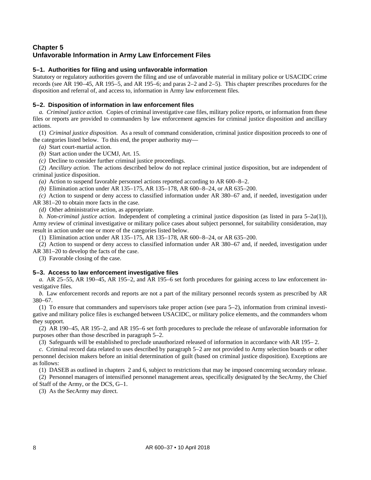## <span id="page-11-1"></span>**Chapter 5 Unfavorable Information in Army Law Enforcement Files**

## <span id="page-11-2"></span>**5–1. Authorities for filing and using unfavorable information**

Statutory or regulatory authorities govern the filing and use of unfavorable material in military police or USACIDC crime records (see AR 190–45, AR 195–5, and AR 195–6; and paras [2–2](#page-4-1) an[d 2–5\)](#page-5-2). This chapter prescribes procedures for the disposition and referral of, and access to, information in Army law enforcement files.

## <span id="page-11-0"></span>**5–2. Disposition of information in law enforcement files**

*a. Criminal justice action.* Copies of criminal investigative case files, military police reports, or information from these files or reports are provided to commanders by law enforcement agencies for criminal justice disposition and ancillary actions.

<span id="page-11-4"></span>(1) *Criminal justice disposition.* As a result of command consideration, criminal justice disposition proceeds to one of the categories listed below. To this end, the proper authority may—

*(a)* Start court-martial action.

*(b)* Start action under the UCMJ, Art. 15.

*(c)* Decline to consider further criminal justice proceedings.

(2) *Ancillary action.* The actions described below do not replace criminal justice disposition, but are independent of criminal justice disposition.

*(a)* Action to suspend favorable personnel actions reported according to AR 600–8–2.

*(b)* Elimination action under AR 135–175, AR 135–178, AR 600–8–24, or AR 635–200.

*(c)* Action to suspend or deny access to classified information under AR 380–67 and, if needed, investigation under AR 381–20 to obtain more facts in the case.

*(d)* Other administrative action, as appropriate.

*b. Non-criminal justice action.* Independent of completing a criminal justice disposition (as listed in [para](#page-11-4) 5–2*a*(1)), Army review of criminal investigative or military police cases about subject personnel, for suitability consideration, may result in action under one or more of the categories listed below.

(1) Elimination action under AR 135–175, AR 135–178, AR 600–8–24, or AR 635–200.

(2) Action to suspend or deny access to classified information under AR 380–67 and, if needed, investigation under AR 381–20 to develop the facts of the case.

(3) Favorable closing of the case.

## <span id="page-11-3"></span>**5–3. Access to law enforcement investigative files**

<span id="page-11-5"></span>*a.* AR 25–55, AR 190–45, AR 195–2, and AR 195–6 set forth procedures for gaining access to law enforcement investigative files.

*b.* Law enforcement records and reports are not a part of the military personnel records system as prescribed by AR 380–67.

(1) To ensure that commanders and supervisors take proper action (see [para](#page-11-0) 5–2), information from criminal investigative and military police files is exchanged between USACIDC, or military police elements, and the commanders whom they support.

(2) AR 190–45, AR 195–2, and AR 195–6 set forth procedures to preclude the release of unfavorable information for purposes other than those described i[n paragraph](#page-11-0) 5–2.

(3) Safeguards will be established to preclude unauthorized released of information in accordance with AR 195– 2.

*c.* Criminal record data related to uses described b[y paragraph](#page-11-0) 5–2 are not provided to Army selection boards or other personnel decision makers before an initial determination of guilt (based on criminal justice disposition). Exceptions are as follows:

(1) DASEB as outlined in chapters [2](#page-4-7) an[d 6,](#page-12-0) subject to restrictions that may be imposed concerning secondary release.

(2) Personnel managers of intensified personnel management areas, specifically designated by the SecArmy, the Chief of Staff of the Army, or the DCS, G–1.

(3) As the SecArmy may direct.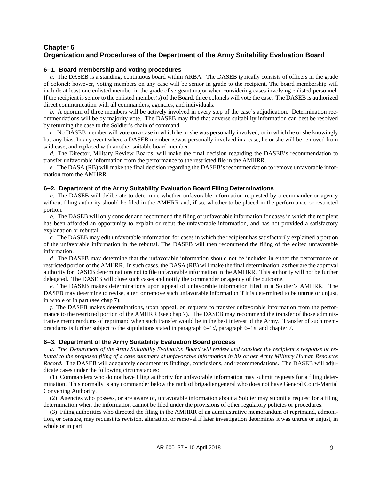## <span id="page-12-0"></span>**Chapter 6 Organization and Procedures of the Department of the Army Suitability Evaluation Board**

#### <span id="page-12-1"></span>**6–1. Board membership and voting procedures**

*a.* The DASEB is a standing, continuous board within ARBA. The DASEB typically consists of officers in the grade of colonel; however, voting members on any case will be senior in grade to the recipient. The board membership will include at least one enlisted member in the grade of sergeant major when considering cases involving enlisted personnel. If the recipient is senior to the enlisted member(s) of the Board, three colonels will vote the case. The DASEB is authorized direct communication with all commanders, agencies, and individuals.

*b.* A quorum of three members will be actively involved in every step of the case's adjudication. Determination recommendations will be by majority vote. The DASEB may find that adverse suitability information can best be resolved by returning the case to the Soldier's chain of command.

*c.* No DASEB member will vote on a case in which he or she was personally involved, or in which he or she knowingly has any bias. In any event where a DASEB member is/was personally involved in a case, he or she will be removed from said case, and replaced with another suitable board member.

<span id="page-12-4"></span>*d.* The Director, Military Review Boards, will make the final decision regarding the DASEB's recommendation to transfer unfavorable information from the performance to the restricted file in the AMHRR.

<span id="page-12-5"></span>*e.* The DASA (RB) will make the final decision regarding the DASEB's recommendation to remove unfavorable information from the AMHRR.

#### <span id="page-12-2"></span>**6–2. Department of the Army Suitability Evaluation Board Filing Determinations**

*a.* The DASEB will deliberate to determine whether unfavorable information requested by a commander or agency without filing authority should be filed in the AMHRR and, if so, whether to be placed in the performance or restricted portion.

*b.* The DASEB will only consider and recommend the filing of unfavorable information for cases in which the recipient has been afforded an opportunity to explain or rebut the unfavorable information, and has not provided a satisfactory explanation or rebuttal.

*c.* The DASEB may edit unfavorable information for cases in which the recipient has satisfactorily explained a portion of the unfavorable information in the rebuttal. The DASEB will then recommend the filing of the edited unfavorable information.

*d.* The DASEB may determine that the unfavorable information should not be included in either the performance or restricted portion of the AMHRR. In such cases, the DASA (RB) will make the final determination, as they are the approval authority for DASEB determinations not to file unfavorable information in the AMHRR. This authority will not be further delegated. The DASEB will close such cases and notify the commander or agency of the outcome.

*e.* The DASEB makes determinations upon appeal of unfavorable information filed in a Soldier's AMHRR. The DASEB may determine to revise, alter, or remove such unfavorable information if it is determined to be untrue or unjust, in whole or in part (see [chap](#page-14-0) 7).

*f.* The DASEB makes determinations, upon appeal, on requests to transfer unfavorable information from the performance to the restricted portion of the AMHRR (see [chap](#page-14-0) 7). The DASEB may recommend the transfer of those administrative memorandums of reprimand when such transfer would be in the best interest of the Army. Transfer of such memorandums is further subject to the stipulations stated in [paragraph](#page-12-4) 6–1*d*, [paragraph](#page-12-5) 6–1*e*, an[d chapter](#page-14-0) 7.

#### <span id="page-12-3"></span>**6–3. Department of the Army Suitability Evaluation Board process**

<span id="page-12-6"></span>*a. The Department of the Army Suitability Evaluation Board will review and consider the recipient's response or rebuttal to the proposed filing of a case summary of unfavorable information in his or her Army Military Human Resource Record.* The DASEB will adequately document its findings, conclusions, and recommendations. The DASEB will adjudicate cases under the following circumstances:

(1) Commanders who do not have filing authority for unfavorable information may submit requests for a filing determination. This normally is any commander below the rank of brigadier general who does not have General Court-Martial Convening Authority.

(2) Agencies who possess, or are aware of, unfavorable information about a Soldier may submit a request for a filing determination when the information cannot be filed under the provisions of other regulatory policies or procedures.

(3) Filing authorities who directed the filing in the AMHRR of an administrative memorandum of reprimand, admonition, or censure, may request its revision, alteration, or removal if later investigation determines it was untrue or unjust, in whole or in part.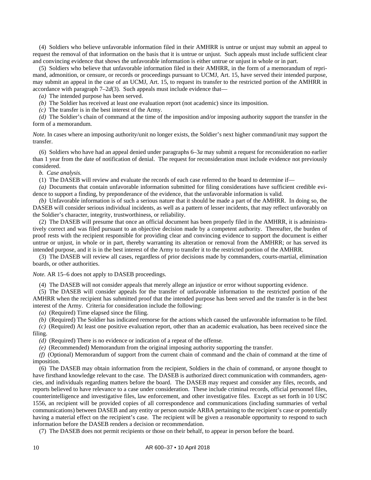(4) Soldiers who believe unfavorable information filed in their AMHRR is untrue or unjust may submit an appeal to request the removal of that information on the basis that it is untrue or unjust. Such appeals must include sufficient clear and convincing evidence that shows the unfavorable information is either untrue or unjust in whole or in part.

(5) Soldiers who believe that unfavorable information filed in their AMHRR, in the form of a memorandum of reprimand, admonition, or censure, or records or proceedings pursuant to UCMJ, Art. 15, have served their intended purpose, may submit an appeal in the case of an UCMJ, Art. 15, to request its transfer to the restricted portion of the AMHRR in accordance with paragraph 7–2*d*(3). Such appeals must include evidence that—

*(a)* The intended purpose has been served.

*(b)* The Soldier has received at least one evaluation report (not academic) since its imposition.

*(c)* The transfer is in the best interest of the Army.

*(d)* The Soldier's chain of command at the time of the imposition and/or imposing authority support the transfer in the form of a memorandum.

*Note*. In cases where an imposing authority/unit no longer exists, the Soldier's next higher command/unit may support the transfer.

(6) Soldiers who have had an appeal denied unde[r paragraphs](#page-12-6) 6–3*a* may submit a request for reconsideration no earlier than 1 year from the date of notification of denial. The request for reconsideration must include evidence not previously considered.

*b. Case analysis.*

(1) The DASEB will review and evaluate the records of each case referred to the board to determine if—

*(a)* Documents that contain unfavorable information submitted for filing considerations have sufficient credible evidence to support a finding, by preponderance of the evidence, that the unfavorable information is valid.

*(b)* Unfavorable information is of such a serious nature that it should be made a part of the AMHRR. In doing so, the DASEB will consider serious individual incidents, as well as a pattern of lesser incidents, that may reflect unfavorably on the Soldier's character, integrity, trustworthiness, or reliability.

(2) The DASEB will presume that once an official document has been properly filed in the AMHRR, it is administratively correct and was filed pursuant to an objective decision made by a competent authority. Thereafter, the burden of proof rests with the recipient responsible for providing clear and convincing evidence to support the document is either untrue or unjust, in whole or in part, thereby warranting its alteration or removal from the AMHRR; or has served its intended purpose, and it is in the best interest of the Army to transfer it to the restricted portion of the AMHRR.

(3) The DASEB will review all cases, regardless of prior decisions made by commanders, courts-martial, elimination boards, or other authorities.

*Note.* AR 15–6 does not apply to DASEB proceedings.

(4) The DASEB will not consider appeals that merely allege an injustice or error without supporting evidence.

(5) The DASEB will consider appeals for the transfer of unfavorable information to the restricted portion of the AMHRR when the recipient has submitted proof that the intended purpose has been served and the transfer is in the best interest of the Army. Criteria for consideration include the following:

*(a)* (Required) Time elapsed since the filing.

*(b)* (Required) The Soldier has indicated remorse for the actions which caused the unfavorable information to be filed.

*(c)* (Required) At least one positive evaluation report, other than an academic evaluation, has been received since the filing.

*(d)* (Required) There is no evidence or indication of a repeat of the offense.

*(e)* (Recommended) Memorandum from the original imposing authority supporting the transfer.

*(f)* (Optional) Memorandum of support from the current chain of command and the chain of command at the time of imposition.

(6) The DASEB may obtain information from the recipient, Soldiers in the chain of command, or anyone thought to have firsthand knowledge relevant to the case. The DASEB is authorized direct communication with commanders, agencies, and individuals regarding matters before the board. The DASEB may request and consider any files, records, and reports believed to have relevance to a case under consideration. These include criminal records, official personnel files, counterintelligence and investigative files, law enforcement, and other investigative files. Except as set forth in 10 USC 1556, an recipient will be provided copies of all correspondence and communications (including summaries of verbal communications) between DASEB and any entity or person outside ARBA pertaining to the recipient's case or potentially having a material effect on the recipient's case. The recipient will be given a reasonable opportunity to respond to such information before the DASEB renders a decision or recommendation.

(7) The DASEB does not permit recipients or those on their behalf, to appear in person before the board.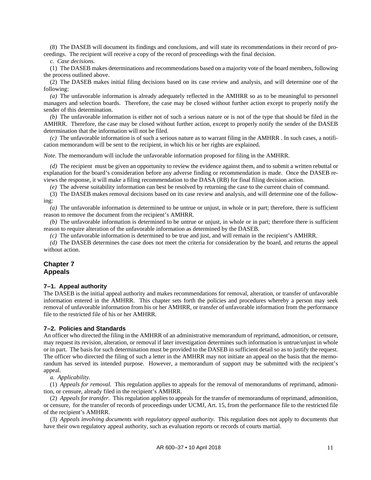(8) The DASEB will document its findings and conclusions, and will state its recommendations in their record of proceedings. The recipient will receive a copy of the record of proceedings with the final decision.

*c. Case decisions.*

(1) The DASEB makes determinations and recommendations based on a majority vote of the board members, following the process outlined above.

(2) The DASEB makes initial filing decisions based on its case review and analysis, and will determine one of the following:

*(a)* The unfavorable information is already adequately reflected in the AMHRR so as to be meaningful to personnel managers and selection boards. Therefore, the case may be closed without further action except to properly notify the sender of this determination.

*(b)* The unfavorable information is either not of such a serious nature or is not of the type that should be filed in the AMHRR. Therefore, the case may be closed without further action, except to properly notify the sender of the DASEB determination that the information will not be filed.

*(c)* The unfavorable information is of such a serious nature as to warrant filing in the AMHRR . In such cases, a notification memorandum will be sent to the recipient, in which his or her rights are explained.

*Note.* The memorandum will include the unfavorable information proposed for filing in the AMHRR.

*(d)* The recipient must be given an opportunity to review the evidence against them, and to submit a written rebuttal or explanation for the board's consideration before any adverse finding or recommendation is made. Once the DASEB reviews the response, it will make a filing recommendation to the DASA (RB) for final filing decision action.

*(e)* The adverse suitability information can best be resolved by returning the case to the current chain of command.

(3) The DASEB makes removal decisions based on its case review and analysis, and will determine one of the following:

*(a)* The unfavorable information is determined to be untrue or unjust, in whole or in part; therefore, there is sufficient reason to remove the document from the recipient's AMHRR.

*(b)* The unfavorable information is determined to be untrue or unjust, in whole or in part; therefore there is sufficient reason to require alteration of the unfavorable information as determined by the DASEB.

*(c)* The unfavorable information is determined to be true and just, and will remain in the recipient's AMHRR.

*(d)* The DASEB determines the case does not meet the criteria for consideration by the board, and returns the appeal without action.

## <span id="page-14-0"></span>**Chapter 7 Appeals**

#### <span id="page-14-1"></span>**7–1. Appeal authority**

The DASEB is the initial appeal authority and makes recommendations for removal, alteration, or transfer of unfavorable information entered in the AMHRR. This chapter sets forth the policies and procedures whereby a person may seek removal of unfavorable information from his or her AMHRR, or transfer of unfavorable information from the performance file to the restricted file of his or her AMHRR.

## <span id="page-14-2"></span>**7–2. Policies and Standards**

An officer who directed the filing in the AMHRR of an administrative memorandum of reprimand, admonition, or censure, may request its revision, alteration, or removal if later investigation determines such information is untrue/unjust in whole or in part. The basis for such determination must be provided to the DASEB in sufficient detail so as to justify the request. The officer who directed the filing of such a letter in the AMHRR may not initiate an appeal on the basis that the memorandum has served its intended purpose. However, a memorandum of support may be submitted with the recipient's appeal.

*a. Applicability.*

(1) *Appeals for removal.* This regulation applies to appeals for the removal of memorandums of reprimand, admonition, or censure, already filed in the recipient's AMHRR.

(2) *Appeals for transfer.* This regulation applies to appeals for the transfer of memorandums of reprimand, admonition, or censure, for the transfer of records of proceedings under UCMJ, Art. 15, from the performance file to the restricted file of the recipient's AMHRR.

(3) *Appeals involving documents with regulatory appeal authority.* This regulation does not apply to documents that have their own regulatory appeal authority, such as evaluation reports or records of courts martial.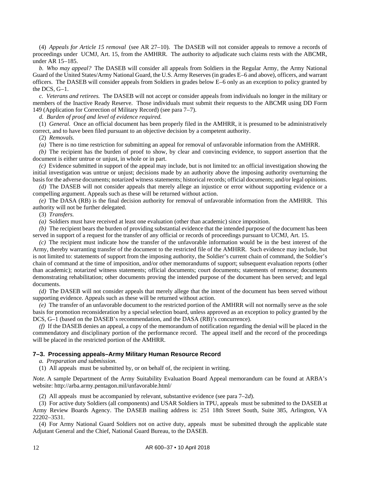<span id="page-15-2"></span>(4) *Appeals for Article 15 removal* (see AR 27–10). The DASEB will not consider appeals to remove a records of proceedings under UCMJ, Art. 15, from the AMHRR. The authority to adjudicate such claims rests with the ABCMR, under AR 15–185.

*b. Who may appeal?* The DASEB will consider all appeals from Soldiers in the Regular Army, the Army National Guard of the United States/Army National Guard, the U.S. Army Reserves (in grades E–6 and above), officers, and warrant officers. The DASEB will consider appeals from Soldiers in grades below E–6 only as an exception to policy granted by the DCS, G–1.

*c. Veterans and retirees.* The DASEB will not accept or consider appeals from individuals no longer in the military or members of the Inactive Ready Reserve. Those individuals must submit their requests to the ABCMR using DD Form 149 (Application for Correction of Military Record) (see [para](#page-17-0) 7–7).

<span id="page-15-1"></span>*d. Burden of proof and level of evidence required.*

(1) *General.* Once an official document has been properly filed in the AMHRR, it is presumed to be administratively correct, and to have been filed pursuant to an objective decision by a competent authority.

(2) *Removals.*

*(a)* There is no time restriction for submitting an appeal for removal of unfavorable information from the AMHRR.

*(b)* The recipient has the burden of proof to show, by clear and convincing evidence, to support assertion that the document is either untrue or unjust, in whole or in part.

*(c)* Evidence submitted in support of the appeal may include, but is not limited to: an official investigation showing the initial investigation was untrue or unjust; decisions made by an authority above the imposing authority overturning the basis for the adverse documents; notarized witness statements; historical records; official documents; and/or legal opinions.

*(d)* The DASEB will not consider appeals that merely allege an injustice or error without supporting evidence or a compelling argument. Appeals such as these will be returned without action.

*(e)* The DASA (RB) is the final decision authority for removal of unfavorable information from the AMHRR. This authority will not be further delegated.

(3) *Transfers.*

*(a)* Soldiers must have received at least one evaluation (other than academic) since imposition.

*(b)* The recipient bears the burden of providing substantial evidence that the intended purpose of the document has been served in support of a request for the transfer of any official or records of proceedings pursuant to UCMJ, Art. 15.

*(c)* The recipient must indicate how the transfer of the unfavorable information would be in the best interest of the Army, thereby warranting transfer of the document to the restricted file of the AMHRR. Such evidence may include, but is not limited to: statements of support from the imposing authority, the Soldier's current chain of command, the Soldier's chain of command at the time of imposition, and/or other memorandums of support; subsequent evaluation reports (other than academic); notarized witness statements; official documents; court documents; statements of remorse; documents demonstrating rehabilitation; other documents proving the intended purpose of the document has been served; and legal documents.

*(d)* The DASEB will not consider appeals that merely allege that the intent of the document has been served without supporting evidence. Appeals such as these will be returned without action.

*(e)* The transfer of an unfavorable document to the restricted portion of the AMHRR will not normally serve as the sole basis for promotion reconsideration by a special selection board, unless approved as an exception to policy granted by the DCS, G–1 (based on the DASEB's recommendation, and the DASA (RB)'s concurrence).

*(f)* If the DASEB denies an appeal, a copy of the memorandum of notification regarding the denial will be placed in the commendatory and disciplinary portion of the performance record. The appeal itself and the record of the proceedings will be placed in the restricted portion of the AMHRR.

#### <span id="page-15-0"></span>**7–3. Processing appeals–Army Military Human Resource Record**

*a. Preparation and submission.*

(1) All appeals must be submitted by, or on behalf of, the recipient in writing.

*Note.* A sample Department of the Army Suitability Evaluation Board Appeal memorandum can be found at ARBA's website: http://arba.army.pentagon.mil/unfavorable.html/

(2) All appeals must be accompanied by relevant, substantive evidence (see [para](#page-15-1) 7–2*d*).

(3) For active duty Soldiers (all components) and USAR Soldiers in TPU, appeals must be submitted to the DASEB at Army Review Boards Agency. The DASEB mailing address is: 251 18th Street South, Suite 385, Arlington, VA 22202–3531.

(4) For Army National Guard Soldiers not on active duty, appeals must be submitted through the applicable state Adjutant General and the Chief, National Guard Bureau, to the DASEB.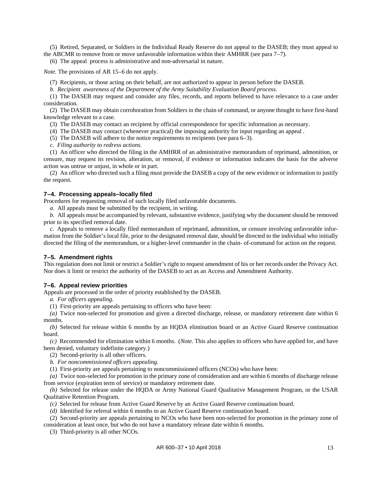(5) Retired, Separated, or Soldiers in the Individual Ready Reserve do not appeal to the DASEB; they must appeal to the ABCMR to remove from or move unfavorable information within their AMHRR (see [para](#page-17-0) 7–7).

(6) The appeal process is administrative and non-adversarial in nature.

*Note.* The provisions of AR 15–6 do not apply.

(7) Recipients, or those acting on their behalf, are not authorized to appear in person before the DASEB.

*b. Recipient awareness of the Department of the Army Suitability Evaluation Board process.*

(1) The DASEB may request and consider any files, records, and reports believed to have relevance to a case under consideration.

(2) The DASEB may obtain corroboration from Soldiers in the chain of command, or anyone thought to have first-hand knowledge relevant to a case.

(3) The DASEB may contact an recipient by official correspondence for specific information as necessary.

(4) The DASEB may contact (whenever practical) the imposing authority for input regarding an appeal .

(5) The DASEB will adhere to the notice requirements to recipients (se[e para](#page-12-3) 6–3).

*c. Filing authority to redress actions.*

(1) An officer who directed the filing in the AMHRR of an administrative memorandum of reprimand, admonition, or censure, may request its revision, alteration, or removal, if evidence or information indicates the basis for the adverse action was untrue or unjust, in whole or in part.

(2) An officer who directed such a filing must provide the DASEB a copy of the new evidence or information to justify the request.

#### <span id="page-16-0"></span>**7–4. Processing appeals–locally filed**

Procedures for requesting removal of such locally filed unfavorable documents.

*a.* All appeals must be submitted by the recipient, in writing.

*b.* All appeals must be accompanied by relevant, substantive evidence, justifying why the document should be removed prior to its specified removal date.

*c.* Appeals to remove a locally filed memorandum of reprimand, admonition, or censure involving unfavorable information from the Soldier's local file, prior to the designated removal date, should be directed to the individual who initially directed the filing of the memorandum, or a higher-level commander in the chain- of-command for action on the request.

#### <span id="page-16-1"></span>**7–5. Amendment rights**

This regulation does not limit or restrict a Soldier's right to request amendment of his or her records under the Privacy Act. Nor does it limit or restrict the authority of the DASEB to act as an Access and Amendment Authority.

#### <span id="page-16-2"></span>**7–6. Appeal review priorities**

Appeals are processed in the order of priority established by the DASEB.

*a. For officers appealing.*

(1) First-priority are appeals pertaining to officers who have been:

*(a)* Twice non-selected for promotion and given a directed discharge, release, or mandatory retirement date within 6 months.

*(b)* Selected for release within 6 months by an HQDA elimination board or an Active Guard Reserve continuation board.

*(c)* Recommended for elimination within 6 months. (*Note.* This also applies to officers who have applied for, and have been denied, voluntary indefinite category.)

(2) Second-priority is all other officers.

*b. For noncommissioned officers appealing.*

(1) First-priority are appeals pertaining to noncommissioned officers (NCOs) who have been:

*(a)* Twice non-selected for promotion in the primary zone of consideration and are within 6 months of discharge release from service (expiration term of service) or mandatory retirement date.

*(b)* Selected for release under the HQDA or Army National Guard Qualitative Management Program, or the USAR Qualitative Retention Program.

*(c)* Selected for release from Active Guard Reserve by an Active Guard Reserve continuation board.

*(d)* Identified for referral within 6 months to an Active Guard Reserve continuation board.

(2) Second-priority are appeals pertaining to NCOs who have been non-selected for promotion in the primary zone of consideration at least once, but who do not have a mandatory release date within 6 months.

(3) Third-priority is all other NCOs.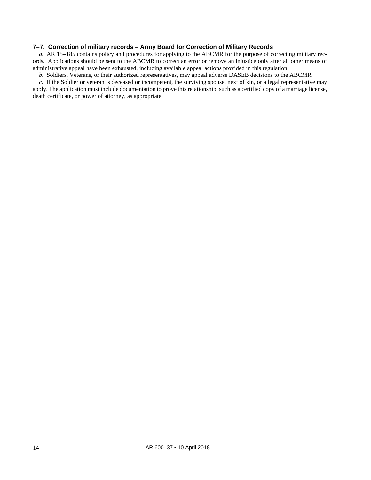## <span id="page-17-0"></span>**7–7. Correction of military records – Army Board for Correction of Military Records**

*a.* AR 15–185 contains policy and procedures for applying to the ABCMR for the purpose of correcting military records. Applications should be sent to the ABCMR to correct an error or remove an injustice only after all other means of administrative appeal have been exhausted, including available appeal actions provided in this regulation.

*b.* Soldiers, Veterans, or their authorized representatives, may appeal adverse DASEB decisions to the ABCMR.

*c.* If the Soldier or veteran is deceased or incompetent, the surviving spouse, next of kin, or a legal representative may apply. The application must include documentation to prove this relationship, such as a certified copy of a marriage license, death certificate, or power of attorney, as appropriate.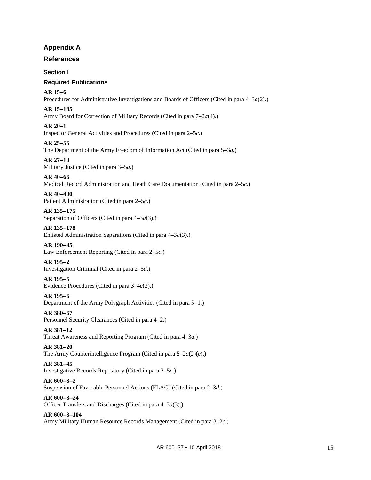## **Appendix A**

## <span id="page-18-0"></span>**References**

## **Section I**

## **Required Publications**

**AR 15–6**

Procedures for Administrative Investigations and Boards of Officers (Cited in [para 4–3](#page-10-5)*a*(2).)

**AR 15–185**

Army Board for Correction of Military Records (Cited in [para 7–2](#page-15-2)*a*(4).)

## **AR 20–1**

Inspector General Activities and Procedures (Cited in [para 2–5](#page-5-3)*c*.)

## **AR 25–55**

The Department of the Army Freedom of Information Act (Cited in [para 5–3](#page-11-5)*a*.)

## **AR 27–10**

Military Justice (Cited in [para 3–5](#page-9-2)*g*.)

**AR 40–66** Medical Record Administration and Heath Care Documentation (Cited in [para 2–5](#page-5-3)*c*.)

## **AR 40–400**

Patient Administration (Cited in [para 2–5](#page-5-3)*c*.)

## **AR 135–175**

Separation of Officers (Cited in [para 4–3](#page-10-6)*a*(3).)

## **AR 135–178**

Enlisted Administration Separations (Cited in [para 4–3](#page-10-6)*a*(3).)

## **AR 190–45**

Law Enforcement Reporting (Cited i[n para 2–5](#page-5-3)*c*.)

## **AR 195–2**

Investigation Criminal (Cited i[n para 2–5](#page-5-4)*d*.)

## **AR 195–5**

Evidence Procedures (Cited in [para 3–4](#page-7-2)*c*(3).)

## **AR 195–6**

Department of the Army Polygraph Activities (Cited in [para 5–1.](#page-11-2))

## **AR 380–67**

Personnel Security Clearances (Cited in [para 4–2.](#page-10-3))

## **AR 381–12**

Threat Awareness and Reporting Program (Cited in [para 4–3](#page-10-7)*a*.)

## **AR 381–20**

The Army Counterintelligence Program (Cited in para 5–2*a*(2)(*c*).)

## **AR 381–45**

Investigative Records Repository (Cited i[n para 2–5](#page-5-3)*c*.)

## **AR 600–8–2**

Suspension of Favorable Personnel Actions (FLAG) (Cited in [para 2–3](#page-5-5)*d*.)

## **AR 600–8–24**

Officer Transfers and Discharges (Cited in [para 4–3](#page-10-6)*a*(3).)

## **AR 600–8–104**

Army Military Human Resource Records Management (Cited i[n para 3–2](#page-6-4)*c*.)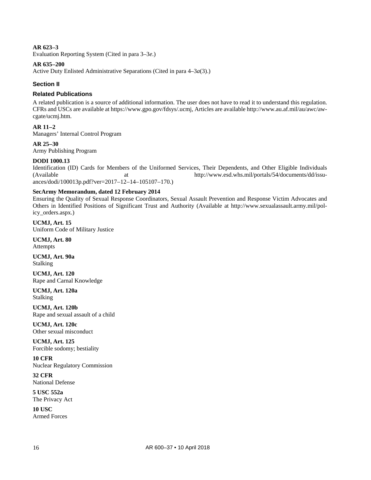## **AR 623–3**

Evaluation Reporting System (Cited in [para 3–3](#page-6-5)*e*.)

#### **AR 635–200**

Active Duty Enlisted Administrative Separations (Cited in [para 4–3](#page-10-6)*a*(3).)

#### **Section II**

#### **Related Publications**

A related publication is a source of additional information. The user does not have to read it to understand this regulation. CFRs and USCs are available at [https://www.gpo.gov/fdsys/.ucmj,](https://www.gpo.gov/fdsys/.ucmj) Articles are availabl[e http://www.au.af.mil/au/awc/aw](http://www.au.af.mil/au/awc/awcgate/ucmj.htm)[cgate/ucmj.htm.](http://www.au.af.mil/au/awc/awcgate/ucmj.htm)

## **AR 11–2**

Managers' Internal Control Program

#### **AR 25–30**

Army Publishing Program

## **DODI 1000.13**

Identification (ID) Cards for Members of the Uniformed Services, Their Dependents, and Other Eligible Individuals (Available at [http://www.esd.whs.mil/portals/54/documents/dd/issu](http://www.esd.whs.mil/portals/54/documents/dd/issuances/dodi/100013p.pdf?ver=2017%E2%80%9312%E2%80%9314%E2%80%93105107%E2%80%93170)[ances/dodi/100013p.pdf?ver=2017–12–14–105107–170.](http://www.esd.whs.mil/portals/54/documents/dd/issuances/dodi/100013p.pdf?ver=2017%E2%80%9312%E2%80%9314%E2%80%93105107%E2%80%93170))

#### **SecArmy Memorandum, dated 12 February 2014**

Ensuring the Quality of Sexual Response Coordinators, Sexual Assault Prevention and Response Victim Advocates and Others in Identified Positions of Significant Trust and Authority (Available at [http://www.sexualassault.army.mil/pol](http://www.sexualassault.army.mil/policy_orders.aspx)[icy\\_orders.aspx.](http://www.sexualassault.army.mil/policy_orders.aspx))

**UCMJ, Art. 15** Uniform Code of Military Justice

**UCMJ, Art. 80** Attempts

**UCMJ, Art. 90a** Stalking

**UCMJ, Art. 120** Rape and Carnal Knowledge

**UCMJ, Art. 120a** Stalking

**UCMJ, Art. 120b** Rape and sexual assault of a child

**UCMJ, Art. 120c** Other sexual misconduct

**UCMJ, Art. 125** Forcible sodomy; bestiality

**10 CFR** Nuclear Regulatory Commission

**32 CFR** National Defense

**5 USC 552a** The Privacy Act

**10 USC** Armed Forces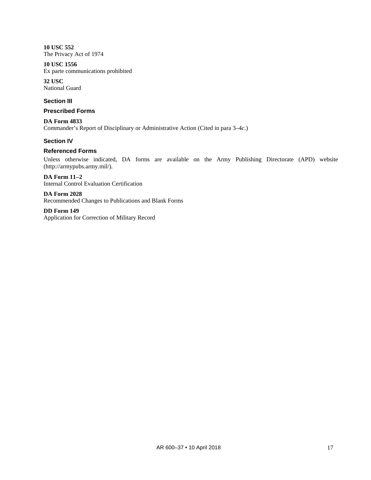**10 USC 552** The Privacy Act of 1974

**10 USC 1556** Ex parte communications prohibited

**32 USC** National Guard

## **Section III**

#### **Prescribed Forms**

**DA Form 4833** Commander's Report of Disciplinary or Administrative Action (Cited in [para 3–4](#page-7-3)*c*.)

## **Section IV**

## **Referenced Forms**

Unless otherwise indicated, DA forms are available on the Army Publishing Directorate (APD) website [\(http://armypubs.army.mil/\)](http://armypubs.army.mil/).

**DA Form 11–2** Internal Control Evaluation Certification

**DA Form 2028** Recommended Changes to Publications and Blank Forms

**DD Form 149** Application for Correction of Military Record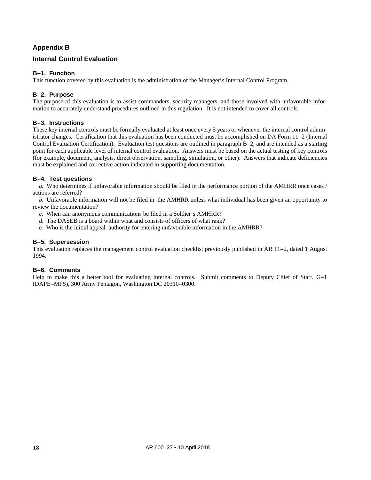## **Appendix B**

## <span id="page-21-0"></span>**Internal Control Evaluation**

## **B–1. Function**

<span id="page-21-1"></span>This function covered by this evaluation is the administration of the Manager's Internal Control Program.

## **B–2. Purpose**

The purpose of this evaluation is to assist commanders, security managers, and those involved with unfavorable information to accurately understand procedures outlined in this regulation. It is not intended to cover all controls.

## **B–3. Instructions**

These key internal controls must be formally evaluated at least once every 5 years or whenever the internal control administrator changes. Certification that this evaluation has been conducted must be accomplished on DA Form 11–2 (Internal Control Evaluation Certification). Evaluation test questions are outlined in [paragraph B–2,](#page-21-1) and are intended as a starting point for each applicable level of internal control evaluation. Answers must be based on the actual testing of key controls (for example, document, analysis, direct observation, sampling, simulation, or other). Answers that indicate deficiencies must be explained and corrective action indicated in supporting documentation.

## **B–4. Test questions**

*a.* Who determines if unfavorable information should be filed in the performance portion of the AMHRR once cases / actions are referred?

*b.* Unfavorable information will not be filed in the AMHRR unless what individual has been given an opportunity to review the documentation?

- *c.* When can anonymous communications be filed in a Soldier's AMHRR?
- *d.* The DASEB is a board within what and consists of officers of what rank?
- *e.* Who is the initial appeal authority for entering unfavorable information in the AMHRR?

## **B–5. Supersession**

This evaluation replaces the management control evaluation checklist previously published in AR 11–2, dated 1 August 1994.

#### **B–6. Comments**

Help to make this a better tool for evaluating internal controls. Submit comments to Deputy Chief of Staff, G–1 (DAPE–MPS), 300 Army Pentagon, Washington DC 20310–0300.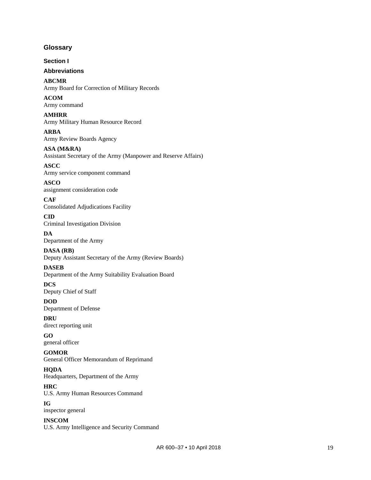## <span id="page-22-0"></span>**Glossary**

**Section I**

## **Abbreviations**

**ABCMR** Army Board for Correction of Military Records

**ACOM** Army command

**AMHRR** Army Military Human Resource Record

**ARBA** Army Review Boards Agency

**ASA (M&RA)**

Assistant Secretary of the Army (Manpower and Reserve Affairs)

## **ASCC** Army service component command

**ASCO** assignment consideration code

**CAF** Consolidated Adjudications Facility

#### **CID** Criminal Investigation Division

**DA** Department of the Army

**DASA (RB)** Deputy Assistant Secretary of the Army (Review Boards)

## **DASEB**

Department of the Army Suitability Evaluation Board

## **DCS**

Deputy Chief of Staff

**DOD** Department of Defense

**DRU** direct reporting unit

## **GO** general officer

#### **GOMOR**

General Officer Memorandum of Reprimand

## **HQDA**

Headquarters, Department of the Army

## **HRC**

U.S. Army Human Resources Command

## **IG**

inspector general

## **INSCOM**

U.S. Army Intelligence and Security Command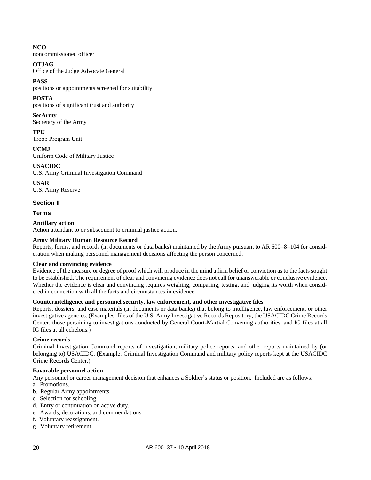## **NCO**

noncommissioned officer

## **OTJAG**

Office of the Judge Advocate General

## **PASS**

positions or appointments screened for suitability

## **POSTA**

positions of significant trust and authority

## **SecArmy**

Secretary of the Army

**TPU** Troop Program Unit

**UCMJ** Uniform Code of Military Justice

## **USACIDC**

U.S. Army Criminal Investigation Command

**USAR** U.S. Army Reserve

## **Section II**

#### **Terms**

## **Ancillary action**

Action attendant to or subsequent to criminal justice action.

## **Army Military Human Resource Record**

Reports, forms, and records (in documents or data banks) maintained by the Army pursuant to AR 600–8–104 for consideration when making personnel management decisions affecting the person concerned.

## **Clear and convincing evidence**

Evidence of the measure or degree of proof which will produce in the mind a firm belief or conviction as to the facts sought to be established. The requirement of clear and convincing evidence does not call for unanswerable or conclusive evidence. Whether the evidence is clear and convincing requires weighing, comparing, testing, and judging its worth when considered in connection with all the facts and circumstances in evidence.

#### **Counterintelligence and personnel security, law enforcement, and other investigative files**

Reports, dossiers, and case materials (in documents or data banks) that belong to intelligence, law enforcement, or other investigative agencies. (Examples: files of the U.S. Army Investigative Records Repository, the USACIDC Crime Records Center, those pertaining to investigations conducted by General Court-Martial Convening authorities, and IG files at all IG files at all echelons.)

#### **Crime records**

Criminal Investigation Command reports of investigation, military police reports, and other reports maintained by (or belonging to) USACIDC. (Example: Criminal Investigation Command and military policy reports kept at the USACIDC Crime Records Center.)

#### **Favorable personnel action**

Any personnel or career management decision that enhances a Soldier's status or position. Included are as follows:

- a. Promotions.
- b. Regular Army appointments.
- c. Selection for schooling.
- d. Entry or continuation on active duty.
- e. Awards, decorations, and commendations.
- f. Voluntary reassignment.
- g. Voluntary retirement.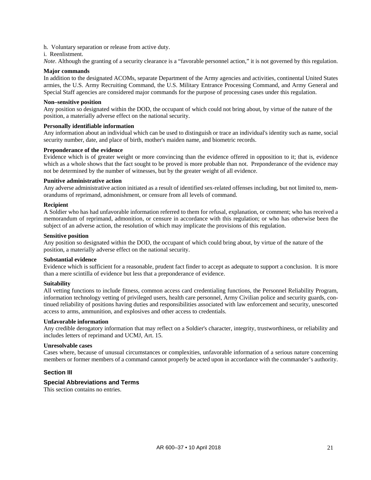h. Voluntary separation or release from active duty.

#### i. Reenlistment.

*Note*. Although the granting of a security clearance is a "favorable personnel action," it is not governed by this regulation.

#### **Major commands**

In addition to the designated ACOMs, separate Department of the Army agencies and activities, continental United States armies, the U.S. Army Recruiting Command, the U.S. Military Entrance Processing Command, and Army General and Special Staff agencies are considered major commands for the purpose of processing cases under this regulation.

#### **Non–sensitive position**

Any position so designated within the DOD, the occupant of which could not bring about, by virtue of the nature of the position, a materially adverse effect on the national security.

#### **Personally identifiable information**

Any information about an individual which can be used to distinguish or trace an individual's identity such as name, social security number, date, and place of birth, mother's maiden name, and biometric records.

#### **Preponderance of the evidence**

Evidence which is of greater weight or more convincing than the evidence offered in opposition to it; that is, evidence which as a whole shows that the fact sought to be proved is more probable than not. Preponderance of the evidence may not be determined by the number of witnesses, but by the greater weight of all evidence.

#### **Punitive administrative action**

Any adverse administrative action initiated as a result of identified sex-related offenses including, but not limited to, memorandums of reprimand, admonishment, or censure from all levels of command.

#### **Recipient**

A Soldier who has had unfavorable information referred to them for refusal, explanation, or comment; who has received a memorandum of reprimand, admonition, or censure in accordance with this regulation; or who has otherwise been the subject of an adverse action, the resolution of which may implicate the provisions of this regulation.

#### **Sensitive position**

Any position so designated within the DOD, the occupant of which could bring about, by virtue of the nature of the position, a materially adverse effect on the national security.

#### **Substantial evidence**

Evidence which is sufficient for a reasonable, prudent fact finder to accept as adequate to support a conclusion. It is more than a mere scintilla of evidence but less that a preponderance of evidence.

#### **Suitability**

All vetting functions to include fitness, common access card credentialing functions, the Personnel Reliability Program, information technology vetting of privileged users, health care personnel, Army Civilian police and security guards, continued reliability of positions having duties and responsibilities associated with law enforcement and security, unescorted access to arms, ammunition, and explosives and other access to credentials.

#### **Unfavorable information**

Any credible derogatory information that may reflect on a Soldier's character, integrity, trustworthiness, or reliability and includes letters of reprimand and UCMJ, Art. 15.

#### **Unresolvable cases**

Cases where, because of unusual circumstances or complexities, unfavorable information of a serious nature concerning members or former members of a command cannot properly be acted upon in accordance with the commander's authority.

#### **Section III**

#### **Special Abbreviations and Terms**

This section contains no entries.